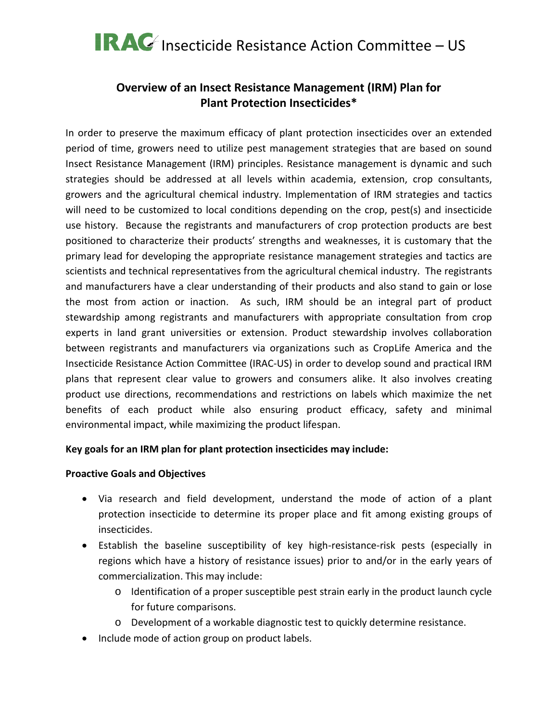### **Overview of an Insect Resistance Management (IRM) Plan for Plant Protection Insecticides\***

In order to preserve the maximum efficacy of plant protection insecticides over an extended period of time, growers need to utilize pest management strategies that are based on sound Insect Resistance Management (IRM) principles. Resistance management is dynamic and such strategies should be addressed at all levels within academia, extension, crop consultants, growers and the agricultural chemical industry. Implementation of IRM strategies and tactics will need to be customized to local conditions depending on the crop, pest(s) and insecticide use history. Because the registrants and manufacturers of crop protection products are best positioned to characterize their products' strengths and weaknesses, it is customary that the primary lead for developing the appropriate resistance management strategies and tactics are scientists and technical representatives from the agricultural chemical industry. The registrants and manufacturers have a clear understanding of their products and also stand to gain or lose the most from action or inaction. As such, IRM should be an integral part of product stewardship among registrants and manufacturers with appropriate consultation from crop experts in land grant universities or extension. Product stewardship involves collaboration between registrants and manufacturers via organizations such as CropLife America and the Insecticide Resistance Action Committee (IRAC-US) in order to develop sound and practical IRM plans that represent clear value to growers and consumers alike. It also involves creating product use directions, recommendations and restrictions on labels which maximize the net benefits of each product while also ensuring product efficacy, safety and minimal environmental impact, while maximizing the product lifespan.

### **Key goals for an IRM plan for plant protection insecticides may include:**

#### **Proactive Goals and Objectives**

- Via research and field development, understand the mode of action of a plant protection insecticide to determine its proper place and fit among existing groups of insecticides.
- Establish the baseline susceptibility of key high-resistance-risk pests (especially in regions which have a history of resistance issues) prior to and/or in the early years of commercialization. This may include:
	- o Identification of a proper susceptible pest strain early in the product launch cycle for future comparisons.
	- o Development of a workable diagnostic test to quickly determine resistance.
- Include mode of action group on product labels.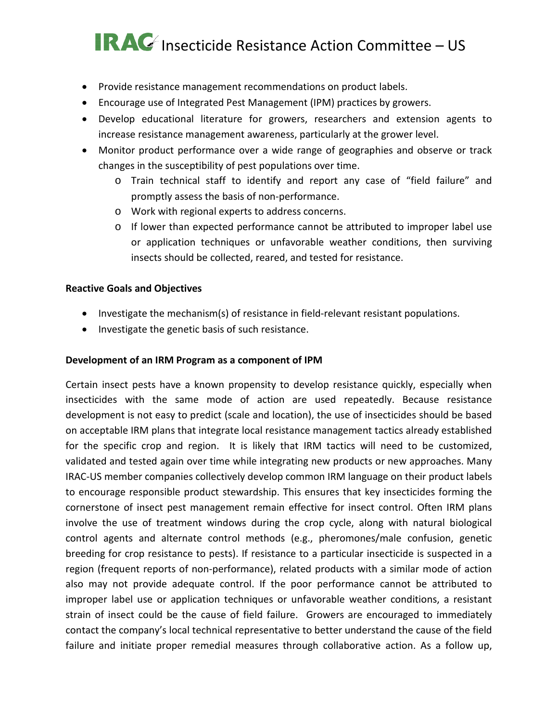- Provide resistance management recommendations on product labels.
- Encourage use of Integrated Pest Management (IPM) practices by growers.
- Develop educational literature for growers, researchers and extension agents to increase resistance management awareness, particularly at the grower level.
- Monitor product performance over a wide range of geographies and observe or track changes in the susceptibility of pest populations over time.
	- o Train technical staff to identify and report any case of "field failure" and promptly assess the basis of non-performance.
	- o Work with regional experts to address concerns.
	- $\circ$  If lower than expected performance cannot be attributed to improper label use or application techniques or unfavorable weather conditions, then surviving insects should be collected, reared, and tested for resistance.

#### **Reactive Goals and Objectives**

- Investigate the mechanism(s) of resistance in field-relevant resistant populations.
- Investigate the genetic basis of such resistance.

#### **Development of an IRM Program as a component of IPM**

Certain insect pests have a known propensity to develop resistance quickly, especially when insecticides with the same mode of action are used repeatedly. Because resistance development is not easy to predict (scale and location), the use of insecticides should be based on acceptable IRM plans that integrate local resistance management tactics already established for the specific crop and region. It is likely that IRM tactics will need to be customized, validated and tested again over time while integrating new products or new approaches. Many IRAC-US member companies collectively develop common IRM language on their product labels to encourage responsible product stewardship. This ensures that key insecticides forming the cornerstone of insect pest management remain effective for insect control. Often IRM plans involve the use of treatment windows during the crop cycle, along with natural biological control agents and alternate control methods (e.g., pheromones/male confusion, genetic breeding for crop resistance to pests). If resistance to a particular insecticide is suspected in a region (frequent reports of non-performance), related products with a similar mode of action also may not provide adequate control. If the poor performance cannot be attributed to improper label use or application techniques or unfavorable weather conditions, a resistant strain of insect could be the cause of field failure. Growers are encouraged to immediately contact the company's local technical representative to better understand the cause of the field failure and initiate proper remedial measures through collaborative action. As a follow up,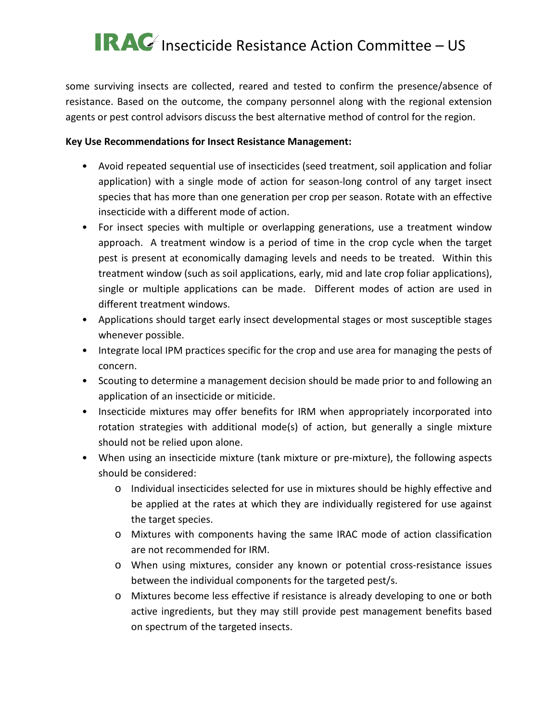some surviving insects are collected, reared and tested to confirm the presence/absence of resistance. Based on the outcome, the company personnel along with the regional extension agents or pest control advisors discuss the best alternative method of control for the region.

#### **Key Use Recommendations for Insect Resistance Management:**

- Avoid repeated sequential use of insecticides (seed treatment, soil application and foliar application) with a single mode of action for season-long control of any target insect species that has more than one generation per crop per season. Rotate with an effective insecticide with a different mode of action.
- For insect species with multiple or overlapping generations, use a treatment window approach. A treatment window is a period of time in the crop cycle when the target pest is present at economically damaging levels and needs to be treated. Within this treatment window (such as soil applications, early, mid and late crop foliar applications), single or multiple applications can be made. Different modes of action are used in different treatment windows.
- Applications should target early insect developmental stages or most susceptible stages whenever possible.
- Integrate local IPM practices specific for the crop and use area for managing the pests of concern.
- Scouting to determine a management decision should be made prior to and following an application of an insecticide or miticide.
- Insecticide mixtures may offer benefits for IRM when appropriately incorporated into rotation strategies with additional mode(s) of action, but generally a single mixture should not be relied upon alone.
- When using an insecticide mixture (tank mixture or pre-mixture), the following aspects should be considered:
	- o Individual insecticides selected for use in mixtures should be highly effective and be applied at the rates at which they are individually registered for use against the target species.
	- o Mixtures with components having the same IRAC mode of action classification are not recommended for IRM.
	- o When using mixtures, consider any known or potential cross-resistance issues between the individual components for the targeted pest/s.
	- o Mixtures become less effective if resistance is already developing to one or both active ingredients, but they may still provide pest management benefits based on spectrum of the targeted insects.